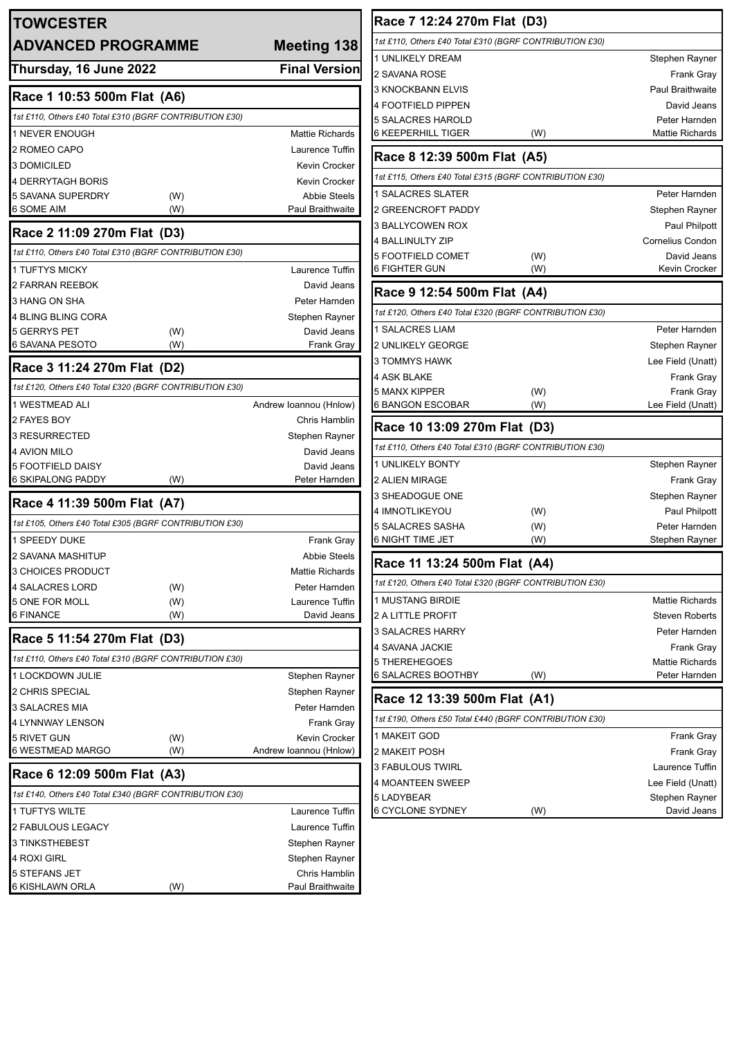| <b>TOWCESTER</b>                                        |            |                                           | Race 7 12:24 270m Flat (D3)                             |     |                                             |
|---------------------------------------------------------|------------|-------------------------------------------|---------------------------------------------------------|-----|---------------------------------------------|
| <b>ADVANCED PROGRAMME</b>                               |            | <b>Meeting 138</b>                        | 1st £110, Others £40 Total £310 (BGRF CONTRIBUTION £30) |     |                                             |
|                                                         |            |                                           | 1 UNLIKELY DREAM                                        |     | Stephen Rayner                              |
| Thursday, 16 June 2022                                  |            | <b>Final Version</b>                      | 2 SAVANA ROSE                                           |     | Frank Gray                                  |
| Race 1 10:53 500m Flat (A6)                             |            |                                           | <b>3 KNOCKBANN ELVIS</b>                                |     | Paul Braithwaite                            |
| 1st £110, Others £40 Total £310 (BGRF CONTRIBUTION £30) |            |                                           | <b>4 FOOTFIELD PIPPEN</b>                               |     | David Jeans                                 |
|                                                         |            |                                           | 5 SALACRES HAROLD<br><b>6 KEEPERHILL TIGER</b>          |     | Peter Harnden<br><b>Mattie Richards</b>     |
| 1 NEVER ENOUGH<br>2 ROMEO CAPO                          |            | <b>Mattie Richards</b><br>Laurence Tuffin |                                                         | (W) |                                             |
| 3 DOMICILED                                             |            | Kevin Crocker                             | Race 8 12:39 500m Flat (A5)                             |     |                                             |
| 4 DERRYTAGH BORIS                                       |            | Kevin Crocker                             | 1st £115, Others £40 Total £315 (BGRF CONTRIBUTION £30) |     |                                             |
| 5 SAVANA SUPERDRY                                       | (W)        | <b>Abbie Steels</b>                       | 1 SALACRES SLATER                                       |     | Peter Harnden                               |
| 6 SOME AIM                                              | (W)        | Paul Braithwaite                          | 2 GREENCROFT PADDY                                      |     | Stephen Rayner                              |
|                                                         |            |                                           | 3 BALLYCOWEN ROX                                        |     | Paul Philpott                               |
| Race 2 11:09 270m Flat (D3)                             |            |                                           | 4 BALLINULTY ZIP                                        |     | Cornelius Condon                            |
| 1st £110, Others £40 Total £310 (BGRF CONTRIBUTION £30) |            |                                           | <b>5 FOOTFIELD COMET</b>                                | (W) | David Jeans                                 |
| <b>1 TUFTYS MICKY</b>                                   |            | Laurence Tuffin                           | <b>6 FIGHTER GUN</b>                                    | (W) | Kevin Crocker                               |
| <b>2 FARRAN REEBOK</b>                                  |            | David Jeans                               | Race 9 12:54 500m Flat (A4)                             |     |                                             |
| 3 HANG ON SHA                                           |            | Peter Harnden                             | 1st £120, Others £40 Total £320 (BGRF CONTRIBUTION £30) |     |                                             |
| 4 BLING BLING CORA<br>5 GERRYS PET                      |            | Stephen Rayner<br>David Jeans             | 1 SALACRES LIAM                                         |     | Peter Harnden                               |
| 6 SAVANA PESOTO                                         | (W)<br>(W) | <b>Frank Gray</b>                         | <b>2 UNLIKELY GEORGE</b>                                |     | Stephen Rayner                              |
|                                                         |            |                                           | <b>3 TOMMYS HAWK</b>                                    |     | Lee Field (Unatt)                           |
| Race 3 11:24 270m Flat (D2)                             |            |                                           | <b>4 ASK BLAKE</b>                                      |     | Frank Gray                                  |
| 1st £120, Others £40 Total £320 (BGRF CONTRIBUTION £30) |            |                                           | <b>5 MANX KIPPER</b>                                    | (W) | <b>Frank Gray</b>                           |
| 1 WESTMEAD ALI                                          |            | Andrew Ioannou (Hnlow)                    | 6 BANGON ESCOBAR                                        | (W) | Lee Field (Unatt)                           |
| 2 FAYES BOY                                             |            | Chris Hamblin                             | Race 10 13:09 270m Flat (D3)                            |     |                                             |
| <b>3 RESURRECTED</b>                                    |            | Stephen Rayner                            |                                                         |     |                                             |
| <b>4 AVION MILO</b>                                     |            | David Jeans                               | 1st £110, Others £40 Total £310 (BGRF CONTRIBUTION £30) |     |                                             |
| <b>5 FOOTFIELD DAISY</b>                                |            | David Jeans                               | <b>1 UNLIKELY BONTY</b>                                 |     | Stephen Rayner                              |
| <b>6 SKIPALONG PADDY</b>                                | (W)        | Peter Harnden                             | 2 ALIEN MIRAGE<br>3 SHEADOGUE ONE                       |     | Frank Gray                                  |
| Race 4 11:39 500m Flat (A7)                             |            |                                           | 4 IMNOTLIKEYOU                                          | (W) | Stephen Rayner<br>Paul Philpott             |
| 1st £105, Others £40 Total £305 (BGRF CONTRIBUTION £30) |            |                                           | <b>5 SALACRES SASHA</b>                                 | (W) | Peter Harnden                               |
| 1 SPEEDY DUKE                                           |            | <b>Frank Gray</b>                         | <b>6 NIGHT TIME JET</b>                                 | (W) | Stephen Rayner                              |
| 2 SAVANA MASHITUP                                       |            | Abbie Steels                              |                                                         |     |                                             |
| 3 CHOICES PRODUCT                                       |            | Mattie Richards                           | Race 11 13:24 500m Flat (A4)                            |     |                                             |
| 4 SALACRES LORD                                         | (W)        | Peter Harnden                             | 1st £120, Others £40 Total £320 (BGRF CONTRIBUTION £30) |     |                                             |
| 5 ONE FOR MOLL                                          | (W)        | Laurence Tuffin                           | <b>1 MUSTANG BIRDIE</b>                                 |     | <b>Mattie Richards</b>                      |
| 6 FINANCE                                               | (W)        | David Jeans                               | 2 A LITTLE PROFIT                                       |     | <b>Steven Roberts</b>                       |
| Race 5 11:54 270m Flat (D3)                             |            |                                           | 3 SALACRES HARRY                                        |     | Peter Harnden                               |
| 1st £110, Others £40 Total £310 (BGRF CONTRIBUTION £30) |            |                                           | 4 SAVANA JACKIE<br>5 THEREHEGOES                        |     | <b>Frank Gray</b><br><b>Mattie Richards</b> |
| 1 LOCKDOWN JULIE                                        |            | Stephen Rayner                            | 6 SALACRES BOOTHBY                                      | (W) | Peter Harnden                               |
| 2 CHRIS SPECIAL                                         |            | Stephen Rayner                            |                                                         |     |                                             |
| 3 SALACRES MIA                                          |            | Peter Harnden                             | Race 12 13:39 500m Flat (A1)                            |     |                                             |
| 4 LYNNWAY LENSON                                        |            | <b>Frank Gray</b>                         | 1st £190, Others £50 Total £440 (BGRF CONTRIBUTION £30) |     |                                             |
| 5 RIVET GUN                                             | (W)        | Kevin Crocker                             | 1 MAKEIT GOD                                            |     | Frank Gray                                  |
| 6 WESTMEAD MARGO                                        | (W)        | Andrew Ioannou (Hnlow)                    | 2 MAKEIT POSH                                           |     | <b>Frank Gray</b>                           |
| Race 6 12:09 500m Flat (A3)                             |            |                                           | 3 FABULOUS TWIRL                                        |     | Laurence Tuffin                             |
|                                                         |            |                                           | 4 MOANTEEN SWEEP                                        |     | Lee Field (Unatt)                           |
| 1st £140, Others £40 Total £340 (BGRF CONTRIBUTION £30) |            |                                           | 5 LADYBEAR                                              |     | Stephen Rayner                              |
| 1 TUFTYS WILTE                                          |            | Laurence Tuffin                           | 6 CYCLONE SYDNEY                                        | (W) | David Jeans                                 |
| 2 FABULOUS LEGACY                                       |            | Laurence Tuffin                           |                                                         |     |                                             |
| 3 TINKSTHEBEST                                          |            | Stephen Rayner                            |                                                         |     |                                             |
| 4 ROXI GIRL<br>5 STEFANS JET                            |            | Stephen Rayner<br>Chris Hamblin           |                                                         |     |                                             |
| 6 KISHLAWN ORLA                                         | (W)        | Paul Braithwaite                          |                                                         |     |                                             |
|                                                         |            |                                           |                                                         |     |                                             |